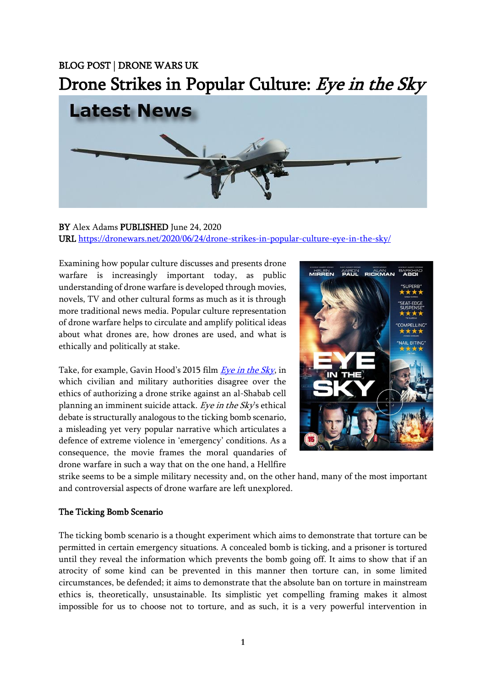## BLOG POST | DRONE WARS UK Drone Strikes in Popular Culture: Eye in the Sky



## BY Alex Adams PUBLISHED June 24, 2020 URL<https://dronewars.net/2020/06/24/drone-strikes-in-popular-culture-eye-in-the-sky/>

Examining how popular culture discusses and presents drone warfare is increasingly important today, as public understanding of drone warfare is developed through movies, novels, TV and other cultural forms as much as it is through more traditional news media. Popular culture representation of drone warfare helps to circulate and amplify political ideas about what drones are, how drones are used, and what is ethically and politically at stake.

Take, for example, Gavin Hood's 2015 film [Eye in the Sky](https://bleeckerstreetmedia.com/eyeinthesky), in which civilian and military authorities disagree over the ethics of authorizing a drone strike against an al-Shabab cell planning an imminent suicide attack. Eye in the Sky's ethical debate is structurally analogous to the ticking bomb scenario, a misleading yet very popular narrative which articulates a defence of extreme violence in 'emergency' conditions. As a consequence, the movie frames the moral quandaries of drone warfare in such a way that on the one hand, a Hellfire



strike seems to be a simple military necessity and, on the other hand, many of the most important and controversial aspects of drone warfare are left unexplored.

## The Ticking Bomb Scenario

The ticking bomb scenario is a thought experiment which aims to demonstrate that torture can be permitted in certain emergency situations. A concealed bomb is ticking, and a prisoner is tortured until they reveal the information which prevents the bomb going off. It aims to show that if an atrocity of some kind can be prevented in this manner then torture can, in some limited circumstances, be defended; it aims to demonstrate that the absolute ban on torture in mainstream ethics is, theoretically, unsustainable. Its simplistic yet compelling framing makes it almost impossible for us to choose not to torture, and as such, it is a very powerful intervention in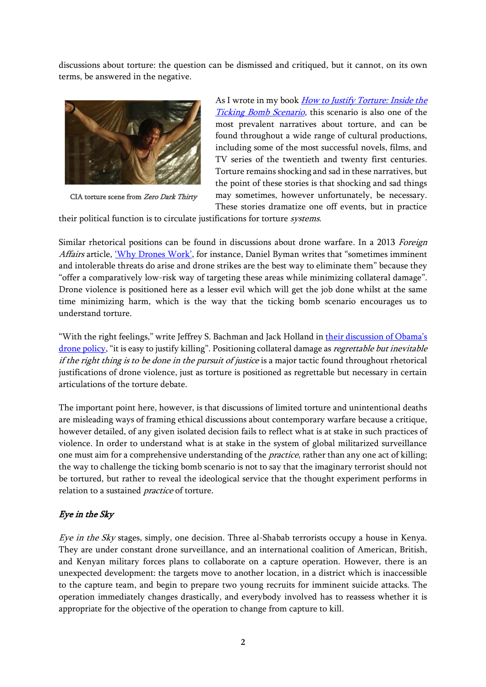discussions about torture: the question can be dismissed and critiqued, but it cannot, on its own terms, be answered in the negative.



CIA torture scene from Zero Dark Thirty

As I wrote in my book *How to Justify Torture: Inside the* [Ticking Bomb Scenario](https://www.atadamswriting.com/how-to-justify-torture), this scenario is also one of the most prevalent narratives about torture, and can be found throughout a wide range of cultural productions, including some of the most successful novels, films, and TV series of the twentieth and twenty first centuries. Torture remains shocking and sad in these narratives, but the point of these stories is that shocking and sad things may sometimes, however unfortunately, be necessary. These stories dramatize one off events, but in practice

their political function is to circulate justifications for torture systems.

Similar rhetorical positions can be found in discussions about drone warfare. In a 2013 Foreign Affairs article, ['Why Drones Work'](https://www.foreignaffairs.com/articles/somalia/2013-07-01/why-drones-work), for instance, Daniel Byman writes that "sometimes imminent and intolerable threats do arise and drone strikes are the best way to eliminate them" because they "offer a comparatively low-risk way of targeting these areas while minimizing collateral damage". Drone violence is positioned here as a lesser evil which will get the job done whilst at the same time minimizing harm, which is the way that the ticking bomb scenario encourages us to understand torture.

"With the right feelings," write Jeffrey S. Bachman and Jack Holland in [their discussion of Obama's](https://www.tandfonline.com/doi/full/10.1080/13642987.2019.1592159)  [drone policy,](https://www.tandfonline.com/doi/full/10.1080/13642987.2019.1592159) "it is easy to justify killing". Positioning collateral damage as regrettable but inevitable if the right thing is to be done in the pursuit of justice is a major tactic found throughout rhetorical justifications of drone violence, just as torture is positioned as regrettable but necessary in certain articulations of the torture debate.

The important point here, however, is that discussions of limited torture and unintentional deaths are misleading ways of framing ethical discussions about contemporary warfare because a critique, however detailed, of any given isolated decision fails to reflect what is at stake in such practices of violence. In order to understand what is at stake in the system of global militarized surveillance one must aim for a comprehensive understanding of the *practice*, rather than any one act of killing; the way to challenge the ticking bomb scenario is not to say that the imaginary terrorist should not be tortured, but rather to reveal the ideological service that the thought experiment performs in relation to a sustained practice of torture.

## Eye in the Sky

Eye in the Sky stages, simply, one decision. Three al-Shabab terrorists occupy a house in Kenya. They are under constant drone surveillance, and an international coalition of American, British, and Kenyan military forces plans to collaborate on a capture operation. However, there is an unexpected development: the targets move to another location, in a district which is inaccessible to the capture team, and begin to prepare two young recruits for imminent suicide attacks. The operation immediately changes drastically, and everybody involved has to reassess whether it is appropriate for the objective of the operation to change from capture to kill.